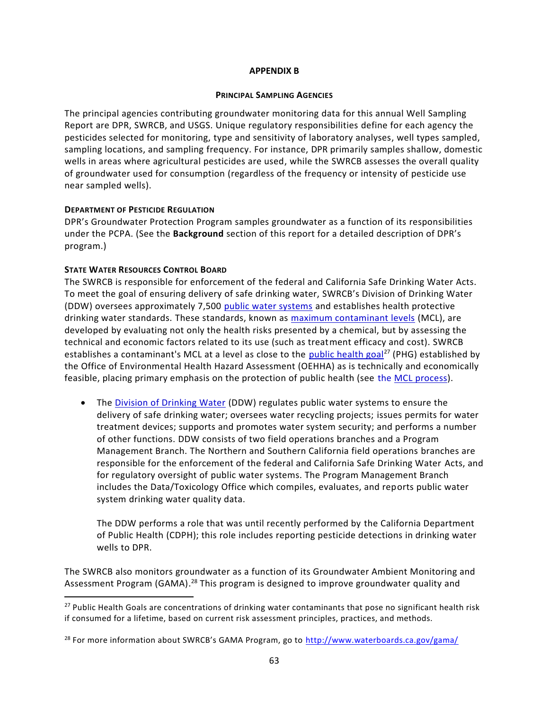## **APPENDIX B**

#### **PRINCIPAL SAMPLING AGENCIES**

The principal agencies contributing groundwater monitoring data for this annual Well Sampling Report are DPR, SWRCB, and USGS. Unique regulatory responsibilities define for each agency the pesticides selected for monitoring, type and sensitivity of laboratory analyses, well types sampled, sampling locations, and sampling frequency. For instance, DPR primarily samples shallow, domestic wells in areas where agricultural pesticides are used, while the SWRCB assesses the overall quality of groundwater used for consumption (regardless of the frequency or intensity of pesticide use near sampled wells).

## **DEPARTMENT OF PESTICIDE REGULATION**

DPR's Groundwater Protection Program samples groundwater as a function of its responsibilities under the PCPA. (See the **Background** section of this report for a detailed description of DPR's program.)

## **STATE WATER RESOURCES CONTROL BOARD**

l

The SWRCB is responsible for enforcement of the federal and California Safe Drinking Water Acts. To meet the goal of ensuring delivery of safe drinking water, SWRCB's Division of Drinking Water (DDW) oversees approximately 7,500 [public water systems](http://www.waterboards.ca.gov/drinking_water/certlic/drinkingwater/publicwatersystems.shtml) and establishes health protective drinking water standards. These standards, known as [maximum contaminant levels](http://www.waterboards.ca.gov/drinking_water/certlic/drinkingwater/MCLsandPHGs.shtml) (MCL), are developed by evaluating not only the health risks presented by a chemical, but by assessing the technical and economic factors related to its use (such as treatment efficacy and cost). SWRCB establishes a contaminant's MCL at a level as close to the [public health goal](http://www.waterboards.ca.gov/drinking_water/certlic/drinkingwater/MCLsandPHGs.shtml)<sup>27</sup> (PHG) established by the Office of Environmental Health Hazard Assessment (OEHHA) as is technically and economically feasible, placing primary emphasis on the protection of public health (see [the MCL process\)](http://www.waterboards.ca.gov/drinking_water/certlic/drinkingwater/MCLprocess.shtml).

• The [Division of Drinking Water](http://www.waterboards.ca.gov/drinking_water/programs/index.shtml) (DDW) regulates public water systems to ensure the delivery of safe drinking water; oversees water recycling projects; issues permits for water treatment devices; supports and promotes water system security; and performs a number of other functions. DDW consists of two field operations branches and a Program Management Branch. The Northern and Southern California field operations branches are responsible for the enforcement of the federal and California Safe Drinking Water Acts, and for regulatory oversight of public water systems. The Program Management Branch includes the Data/Toxicology Office which compiles, evaluates, and reports public water system drinking water quality data.

The DDW performs a role that was until recently performed by the California Department of Public Health (CDPH); this role includes reporting pesticide detections in drinking water wells to DPR.

The SWRCB also monitors groundwater as a function of its Groundwater Ambient Monitoring and Assessment Program (GAMA).<sup>28</sup> This program is designed to improve groundwater quality and

 $27$  Public Health Goals are concentrations of drinking water contaminants that pose no significant health risk if consumed for a lifetime, based on current risk assessment principles, practices, and methods.

<sup>&</sup>lt;sup>28</sup> For more information about SWRCB's GAMA Program, go to <http://www.waterboards.ca.gov/gama/>